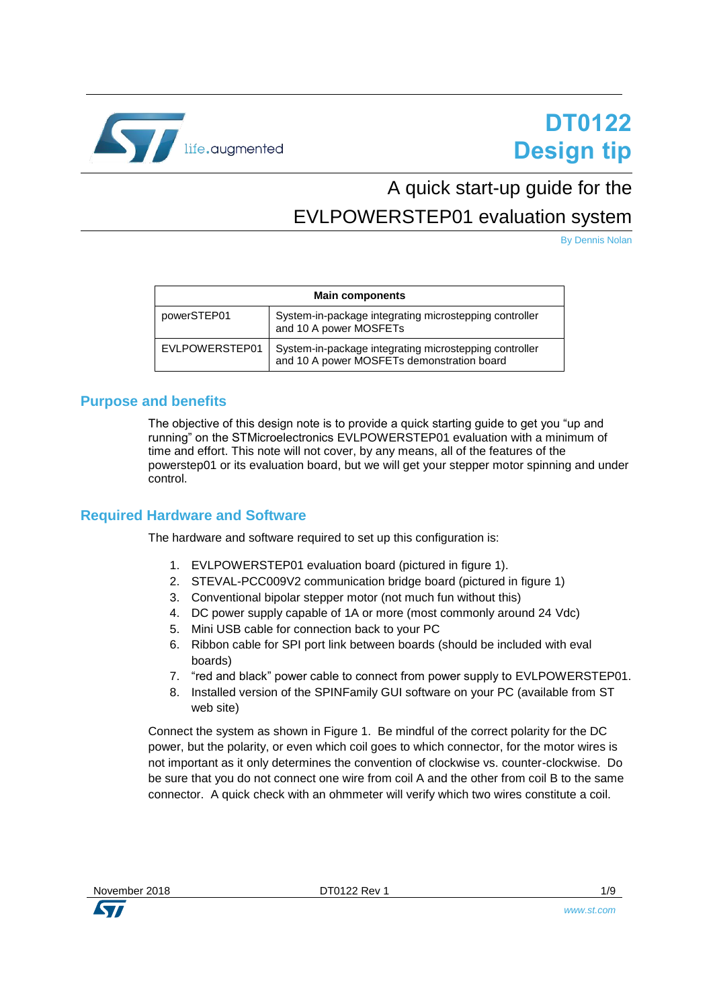

# **DT0122 Design tip**

## A quick start-up guide for the

### <span id="page-0-0"></span>EVLPOWERSTEP01 evaluation system

By Dennis Nolan

| <b>Main components</b> |                                                                                                      |  |
|------------------------|------------------------------------------------------------------------------------------------------|--|
| powerSTEP01            | System-in-package integrating microstepping controller<br>and 10 A power MOSFETs                     |  |
| EVLPOWERSTEP01         | System-in-package integrating microstepping controller<br>and 10 A power MOSFETs demonstration board |  |

#### **Purpose and benefits**

The objective of this design note is to provide a quick starting guide to get you "up and running" on the STMicroelectronics EVLPOWERSTEP01 evaluation with a minimum of time and effort. This note will not cover, by any means, all of the features of the powerstep01 or its evaluation board, but we will get your stepper motor spinning and under control.

#### **Required Hardware and Software**

The hardware and software required to set up this configuration is:

- 1. EVLPOWERSTEP01 evaluation board (pictured in figure 1).
- 2. STEVAL-PCC009V2 communication bridge board (pictured in figure 1)
- 3. Conventional bipolar stepper motor (not much fun without this)
- 4. DC power supply capable of 1A or more (most commonly around 24 Vdc)
- 5. Mini USB cable for connection back to your PC
- 6. Ribbon cable for SPI port link between boards (should be included with eval boards)
- 7. "red and black" power cable to connect from power supply to EVLPOWERSTEP01.
- 8. Installed version of the SPINFamily GUI software on your PC (available from ST web site)

Connect the system as shown in Figure 1. Be mindful of the correct polarity for the DC power, but the polarity, or even which coil goes to which connector, for the motor wires is not important as it only determines the convention of clockwise vs. counter-clockwise. Do be sure that you do not connect one wire from coil A and the other from coil B to the same connector. A quick check with an ohmmeter will verify which two wires constitute a coil.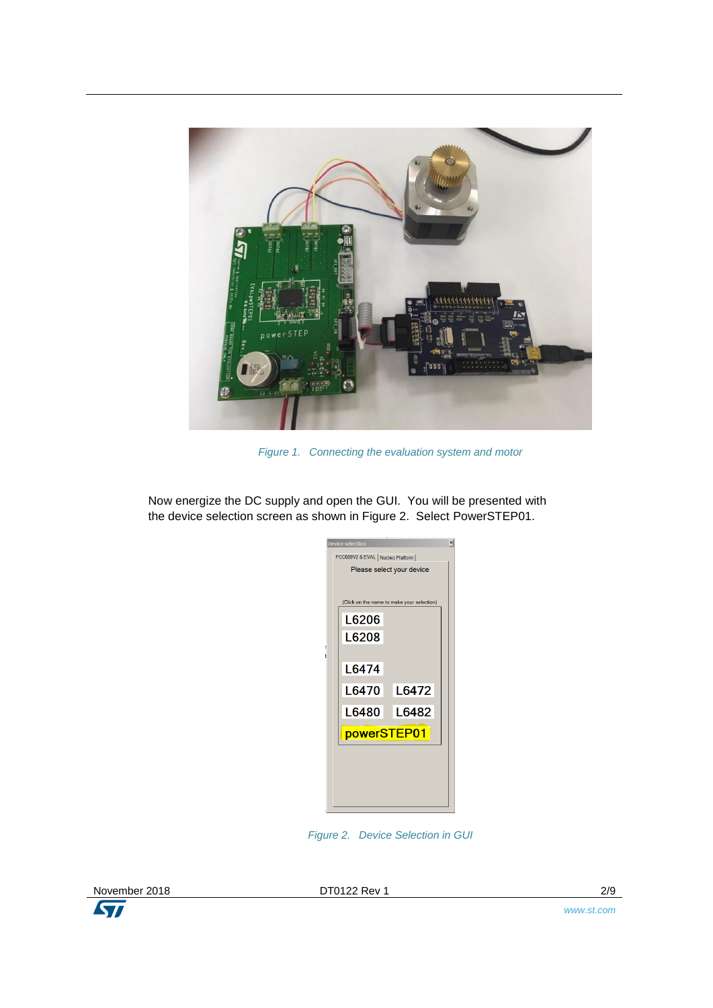

*Figure 1. Connecting the evaluation system and motor*

Now energize the DC supply and open the GUI. You will be presented with the device selection screen as shown in Figure 2. Select PowerSTEP01.

|   | <b>Device selection</b>                    | $\times$ |  |
|---|--------------------------------------------|----------|--|
|   | PCC009V2 & EVAL   Nucleo Platform          |          |  |
|   | Please select your device                  |          |  |
|   |                                            |          |  |
|   | (Click on the name to make your selection) |          |  |
|   | L6206                                      |          |  |
|   | L6208                                      |          |  |
| i |                                            |          |  |
|   | L6474                                      |          |  |
|   | L6470  <br>L6472                           |          |  |
|   | L6480 L<br>L6482                           |          |  |
|   | powerSTEP01                                |          |  |
|   |                                            |          |  |
|   |                                            |          |  |
|   |                                            |          |  |
|   |                                            |          |  |

*Figure 2. Device Selection in GUI*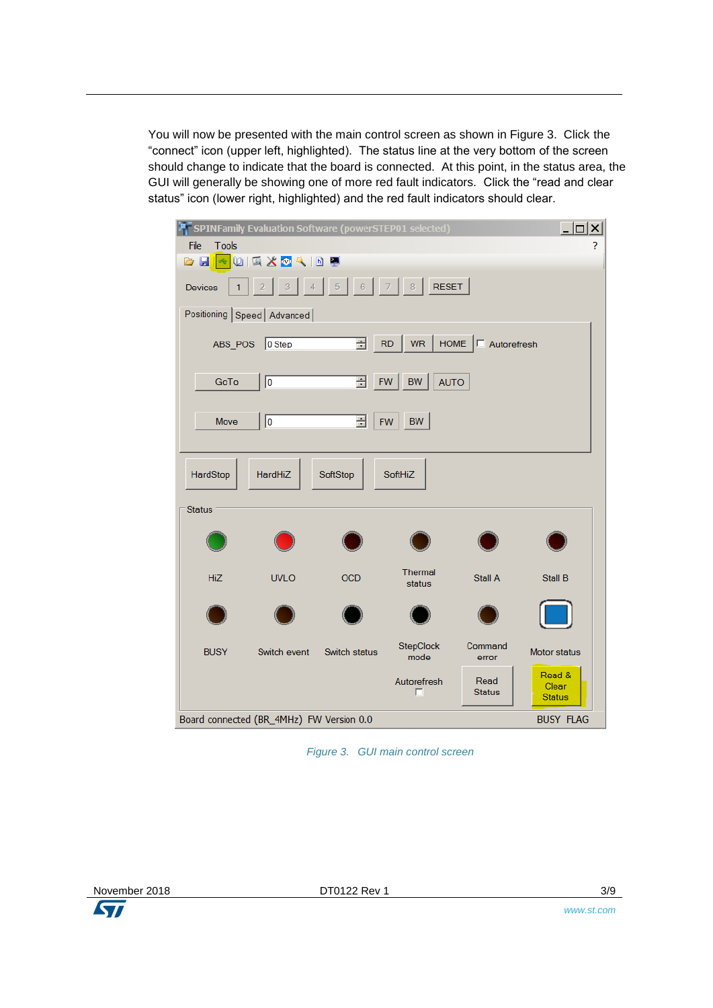You will now be presented with the main control screen as shown in Figure 3. Click the "connect" icon (upper left, highlighted). The status line at the very bottom of the screen should change to indicate that the board is connected. At this point, in the status area, the GUI will generally be showing one of more red fault indicators. Click the "read and clear status" icon (lower right, highlighted) and the red fault indicators should clear.

| $ \Box$ $\times$<br><b>P</b> SPINFamily Evaluation Software (powerSTEP01 selected)<br>File<br><b>Tools</b><br>3<br>$ \mathbf{A} \mathbf{A} \mathbf{A} \mathbf{A} \mathbf{A}$<br>o H |                                          |                                  |                                       |                       |                                  |
|-------------------------------------------------------------------------------------------------------------------------------------------------------------------------------------|------------------------------------------|----------------------------------|---------------------------------------|-----------------------|----------------------------------|
| <b>Devices</b>                                                                                                                                                                      | 3<br>$\overline{4}$<br>2                 | $\overline{5}$<br>6 <sub>1</sub> | <b>RESET</b><br>$\overline{7}$<br>8   |                       |                                  |
|                                                                                                                                                                                     | Positioning Speed Advanced               |                                  |                                       |                       |                                  |
| ABS_POS                                                                                                                                                                             | $\big 0$ Step                            | 골                                | <b>HOME</b><br><b>RD</b><br><b>WR</b> | $\Box$ Autorefresh    |                                  |
| GoTo                                                                                                                                                                                | 0                                        | 곡                                | FW<br>BW<br><b>AUTO</b>               |                       |                                  |
| Move                                                                                                                                                                                | 10                                       | 골                                | <b>BW</b><br><b>FW</b>                |                       |                                  |
| HardStop                                                                                                                                                                            | <b>HardHiZ</b>                           | SoftStop                         | <b>SoftHiZ</b>                        |                       |                                  |
| <b>Status</b>                                                                                                                                                                       |                                          |                                  |                                       |                       |                                  |
| HiZ                                                                                                                                                                                 | <b>UVLO</b>                              | <b>OCD</b>                       | Thermal<br>status                     | Stall A               | Stall B                          |
|                                                                                                                                                                                     |                                          |                                  |                                       |                       |                                  |
| <b>BUSY</b>                                                                                                                                                                         | Switch event                             | Switch status                    | StepClock<br>mode                     | Command<br>error      | <b>Motor status</b>              |
|                                                                                                                                                                                     |                                          |                                  | Autorefresh<br>г                      | Read<br><b>Status</b> | Read &<br>Clear<br><b>Status</b> |
|                                                                                                                                                                                     | Board connected (BR_4MHz) FW Version 0.0 |                                  |                                       |                       | <b>BUSY FLAG</b>                 |

*Figure 3. GUI main control screen*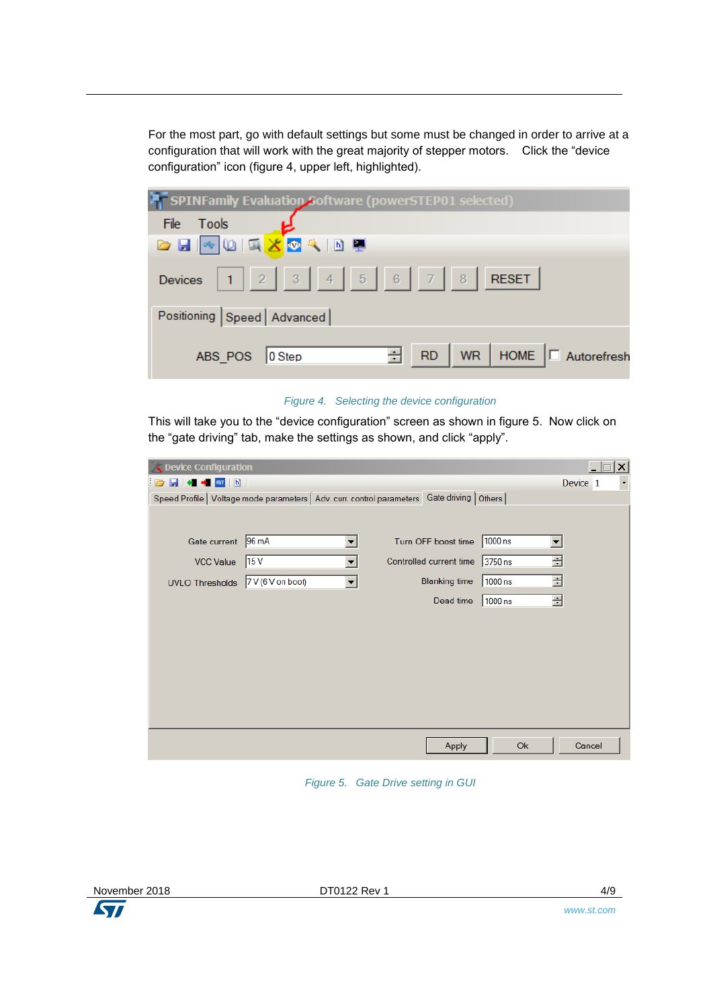For the most part, go with default settings but some must be changed in order to arrive at a configuration that will work with the great majority of stepper motors. Click the "device configuration" icon (figure 4, upper left, highlighted).

| <b>A</b> SPINFamily Evaluation Software (powerSTEP01 selected)             |
|----------------------------------------------------------------------------|
| File Tools                                                                 |
| <b>BERGEX OR BE</b>                                                        |
| Devices 1 2 3 4 5 6 7 8 RESET                                              |
| Positioning Speed Advanced                                                 |
| $\boxed{\div}$ RD   WR   HOME $\boxed{\Box}$ Autorefresh<br>ABS_POS 0 Step |

*Figure 4. Selecting the device configuration*

This will take you to the "device configuration" screen as shown in figure 5. Now click on the "gate driving" tab, make the settings as shown, and click "apply".

| Device Configuration                                                                            |                   |                          |                         |           |        | $\vert x \vert$                     |
|-------------------------------------------------------------------------------------------------|-------------------|--------------------------|-------------------------|-----------|--------|-------------------------------------|
| $\begin{array}{ c c c c c }\n\hline\n\vdots & \hline\n\end{array}$<br>$\Box$                    |                   |                          |                         |           |        | Device <sub>1</sub><br>$\mathbf{L}$ |
| Speed Profile   Voltage mode parameters   Adv. curr. control parameters   Gate driving   Others |                   |                          |                         |           |        |                                     |
|                                                                                                 |                   |                          |                         |           |        |                                     |
| Gate current                                                                                    | 96 mA             | $\overline{\phantom{a}}$ | Turn OFF boost time     | $1000$ ns |        |                                     |
| <b>VCC Value</b>                                                                                | 15 <sub>V</sub>   | $\blacktriangledown$     | Controlled current time | 3750 ns   | $\div$ |                                     |
| <b>UVLO Thresholds</b>                                                                          | 7 V (6 V on boot) | $\blacktriangledown$     | <b>Blanking time</b>    | $1000$ ns | ÷      |                                     |
|                                                                                                 |                   |                          | Dead time               | $1000$ ns | 골      |                                     |
|                                                                                                 |                   |                          |                         |           |        |                                     |
|                                                                                                 |                   |                          |                         |           |        |                                     |
|                                                                                                 |                   |                          |                         |           |        |                                     |
|                                                                                                 |                   |                          |                         |           |        |                                     |
|                                                                                                 |                   |                          |                         |           |        |                                     |
|                                                                                                 |                   |                          |                         |           |        |                                     |
|                                                                                                 |                   |                          |                         |           |        |                                     |
|                                                                                                 |                   |                          | <b>Apply</b>            | <b>Ok</b> |        | Cancel                              |

*Figure 5. Gate Drive setting in GUI* 

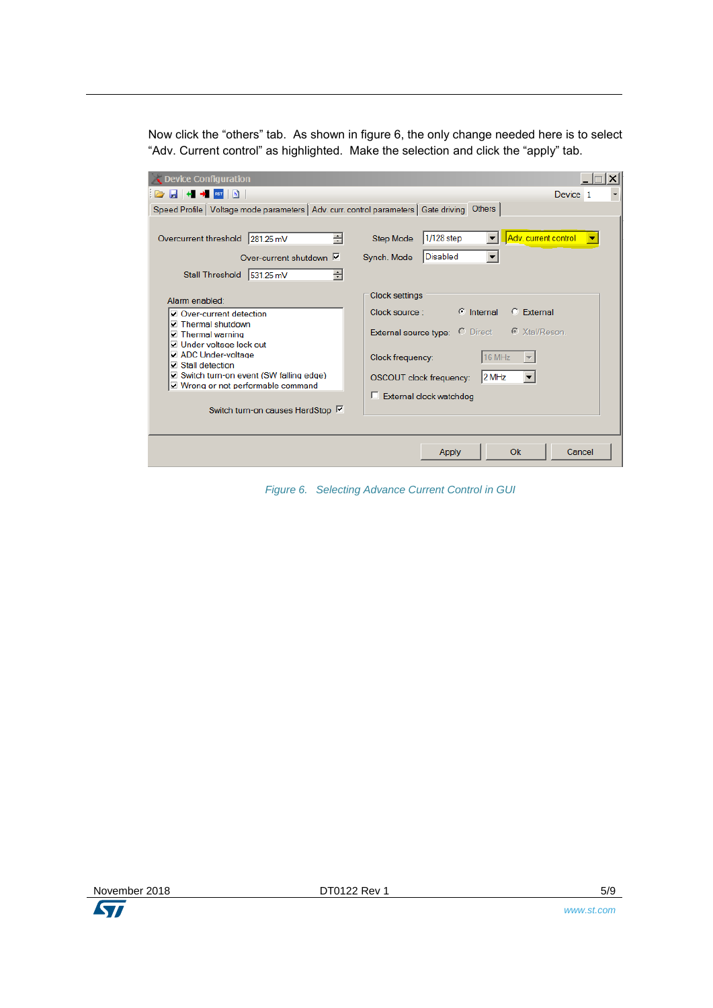Now click the "others" tab. As shown in figure 6, the only change needed here is to select "Adv. Current control" as highlighted. Make the selection and click the "apply" tab.

| <b>Device Configuration</b>                                                                                         |                                                                                                             |
|---------------------------------------------------------------------------------------------------------------------|-------------------------------------------------------------------------------------------------------------|
| <b>BUCK</b>                                                                                                         | Device 1                                                                                                    |
| Speed Profile   Voltage mode parameters   Adv. curr. control parameters   Gate driving Others                       |                                                                                                             |
| ÷<br>Overcurrent threshold<br>281.25 mV<br>Over-current shutdown $\overline{V}$<br>÷<br>Stall Threshold   531.25 mV | Adv. current control<br>1/128 step<br><b>Step Mode</b><br>$\mathbf{v}$<br>▼<br>Disabled<br>Synch. Mode<br>▼ |
| Alarm enabled:                                                                                                      | <b>Clock settings</b>                                                                                       |
| Over-current detection                                                                                              | $\mathbf{\widehat{C}}$ Internal<br>C External<br>Clock source :                                             |
| <b>⊽</b> Thermal shutdown<br>☑ Thermal warning<br><b>⊽ Under voltage lock out</b>                                   | <b>External source type: C</b> Direct © Xtal/Reson.                                                         |
| ADC Under-voltage<br>Stall detection                                                                                | 16 MHz<br>Clock frequency:                                                                                  |
| ☑ Switch turn-on event (SW falling edge)<br>☑ Wrong or not performable command                                      | 2 MHz<br>OSCOUT clock frequency:                                                                            |
|                                                                                                                     | External clock watchdog<br>D.                                                                               |
| Switch turn-on causes HardStop M                                                                                    |                                                                                                             |
|                                                                                                                     |                                                                                                             |
|                                                                                                                     | Ok<br>Cancel<br>Apply                                                                                       |

*Figure 6. Selecting Advance Current Control in GUI*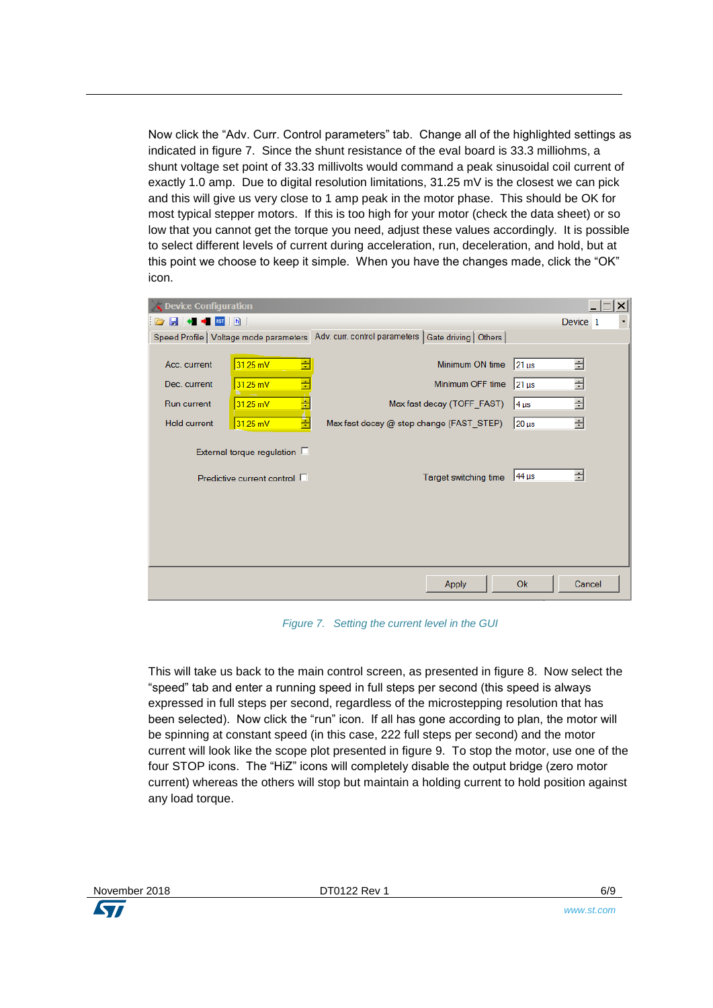Now click the "Adv. Curr. Control parameters" tab. Change all of the highlighted settings as indicated in figure 7. Since the shunt resistance of the eval board is 33.3 milliohms, a shunt voltage set point of 33.33 millivolts would command a peak sinusoidal coil current of exactly 1.0 amp. Due to digital resolution limitations, 31.25 mV is the closest we can pick and this will give us very close to 1 amp peak in the motor phase. This should be OK for most typical stepper motors. If this is too high for your motor (check the data sheet) or so low that you cannot get the torque you need, adjust these values accordingly. It is possible to select different levels of current during acceleration, run, deceleration, and hold, but at this point we choose to keep it simple. When you have the changes made, click the "OK" icon.

| Device Configuration                                                                                                                                                                        |                                                                                                               | ×                                                                                                 |
|---------------------------------------------------------------------------------------------------------------------------------------------------------------------------------------------|---------------------------------------------------------------------------------------------------------------|---------------------------------------------------------------------------------------------------|
| RST h                                                                                                                                                                                       |                                                                                                               | Device 1                                                                                          |
| Speed Profile   Voltage mode parameters                                                                                                                                                     | Adv. curr. control parameters   Gate driving   Others                                                         |                                                                                                   |
| ÷<br>31.25 mV<br>Acc. current<br>÷<br>$31.25$ mV<br>Dec. current<br>Ŧ<br><b>Run current</b><br>$31.25$ mV<br>Ē<br><b>Hold current</b><br>$31.25$ mV<br>External torque regulation $\square$ | Minimum ON time<br>Minimum OFF time<br>Max fast decay (TOFF FAST)<br>Max fast decay @ step change (FAST STEP) | 클<br>21 us<br>골<br>$ 21 \text{ }\mu s$<br>골<br>$ 4 \text{ }\mu s$<br>골<br>$20 \,\mathrm{\upmu s}$ |
| Predictive current control $\Box$                                                                                                                                                           | Target switching time                                                                                         | 골<br>44 µs                                                                                        |
|                                                                                                                                                                                             | Apply                                                                                                         | Ok<br>Cancel                                                                                      |

*Figure 7. Setting the current level in the GUI*

This will take us back to the main control screen, as presented in figure 8. Now select the "speed" tab and enter a running speed in full steps per second (this speed is always expressed in full steps per second, regardless of the microstepping resolution that has been selected). Now click the "run" icon. If all has gone according to plan, the motor will be spinning at constant speed (in this case, 222 full steps per second) and the motor current will look like the scope plot presented in figure 9. To stop the motor, use one of the four STOP icons. The "HiZ" icons will completely disable the output bridge (zero motor current) whereas the others will stop but maintain a holding current to hold position against any load torque.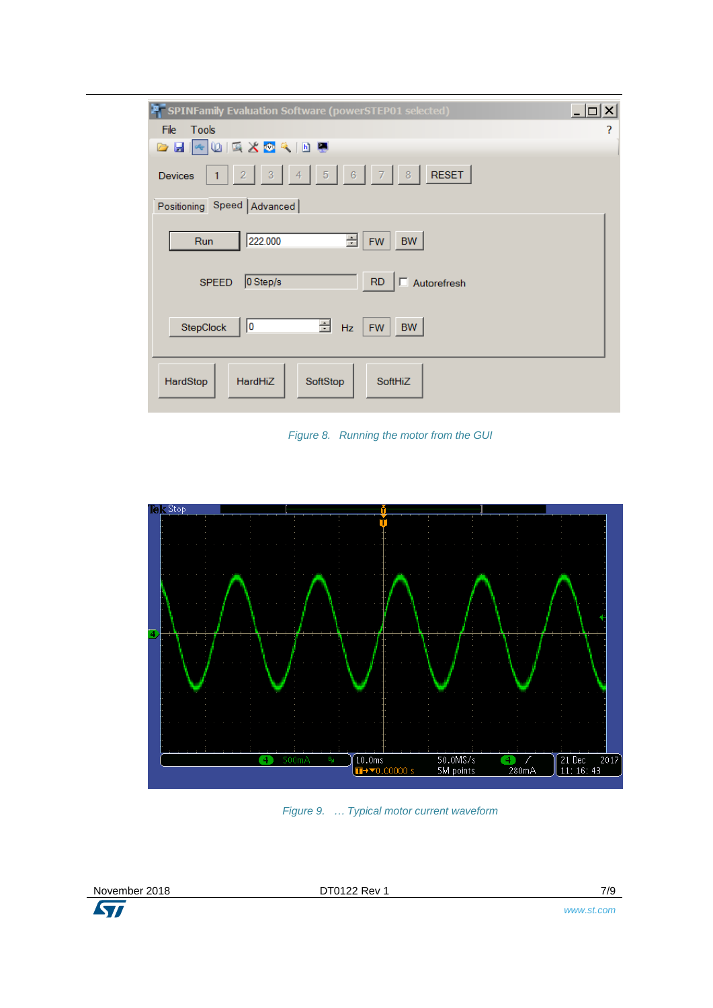| SPINFamily Evaluation Software (powerSTEP01 selected)                                                                       | - 10<br>× |
|-----------------------------------------------------------------------------------------------------------------------------|-----------|
| File<br>Tools                                                                                                               | ?         |
| <b>GH</b> DRX OR DU                                                                                                         |           |
| $\sqrt{5}$<br> 8<br><b>RESET</b><br>$\sqrt{6}$<br>3 <sup>°</sup><br>2 <sup>7</sup><br>4 <sup>1</sup><br><b>Devices</b><br>1 |           |
| Positioning Speed   Advanced                                                                                                |           |
| 222.000<br>÷<br><b>BW</b><br>Run<br><b>FW</b>                                                                               |           |
| $\Box$ Autorefresh<br>RD<br>0 Step/s<br><b>SPEED</b>                                                                        |           |
| 크<br>StepClock<br>10<br>Hz<br><b>BW</b><br><b>FW</b>                                                                        |           |
| HardStop<br><b>HardHiZ</b><br>SoftStop<br>SoftHiZ                                                                           |           |

*Figure 8. Running the motor from the GUI*



*Figure 9. … Typical motor current waveform*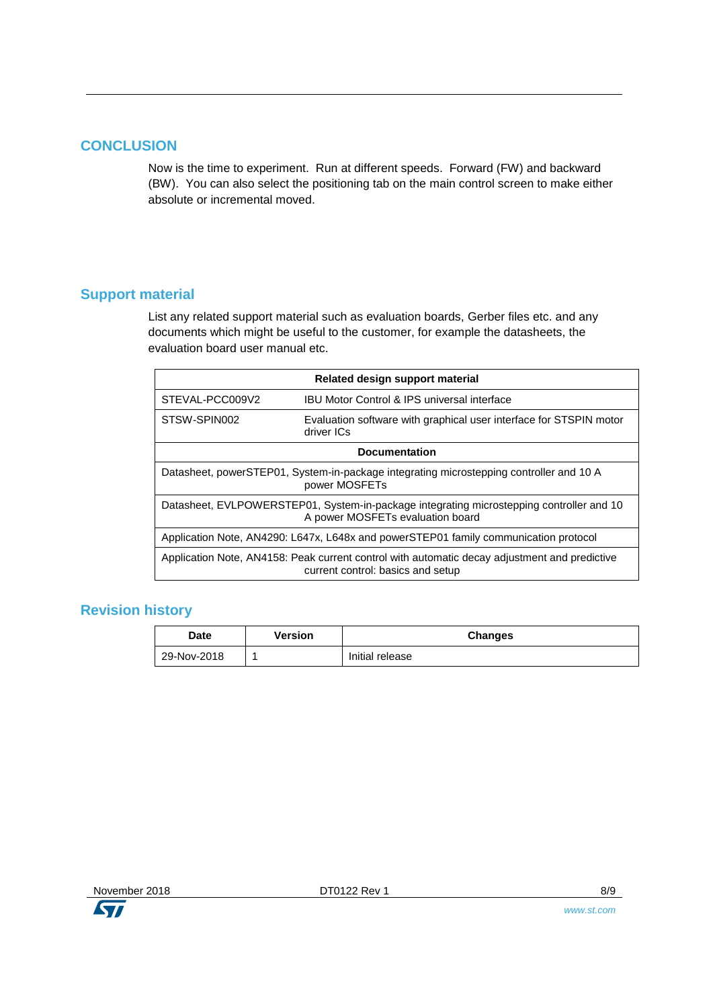#### **CONCLUSION**

Now is the time to experiment. Run at different speeds. Forward (FW) and backward (BW). You can also select the positioning tab on the main control screen to make either absolute or incremental moved.

#### **Support material**

List any related support material such as evaluation boards, Gerber files etc. and any documents which might be useful to the customer, for example the datasheets, the evaluation board user manual etc.

| Related design support material                                                                                                    |                                                                                  |  |
|------------------------------------------------------------------------------------------------------------------------------------|----------------------------------------------------------------------------------|--|
| IBU Motor Control & IPS universal interface<br>STEVAL-PCC009V2                                                                     |                                                                                  |  |
| STSW-SPIN002                                                                                                                       | Evaluation software with graphical user interface for STSPIN motor<br>driver ICs |  |
|                                                                                                                                    | <b>Documentation</b>                                                             |  |
| Datasheet, powerSTEP01, System-in-package integrating microstepping controller and 10 A<br>power MOSFETs                           |                                                                                  |  |
| Datasheet, EVLPOWERSTEP01, System-in-package integrating microstepping controller and 10<br>A power MOSFETs evaluation board       |                                                                                  |  |
| Application Note, AN4290: L647x, L648x and powerSTEP01 family communication protocol                                               |                                                                                  |  |
| Application Note, AN4158: Peak current control with automatic decay adjustment and predictive<br>current control: basics and setup |                                                                                  |  |

#### **Revision history**

| <b>Date</b> | <b>Version</b> | <b>Changes</b>  |
|-------------|----------------|-----------------|
| 29-Nov-2018 |                | Initial release |